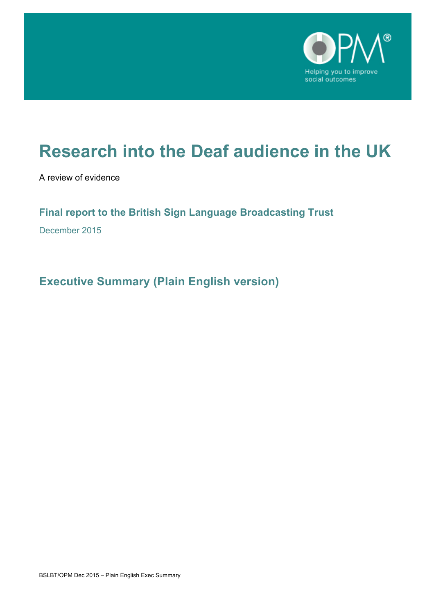

# **Research into the Deaf audience in the UK**

A review of evidence

# **Final report to the British Sign Language Broadcasting Trust**

December 2015

**Executive Summary (Plain English version)**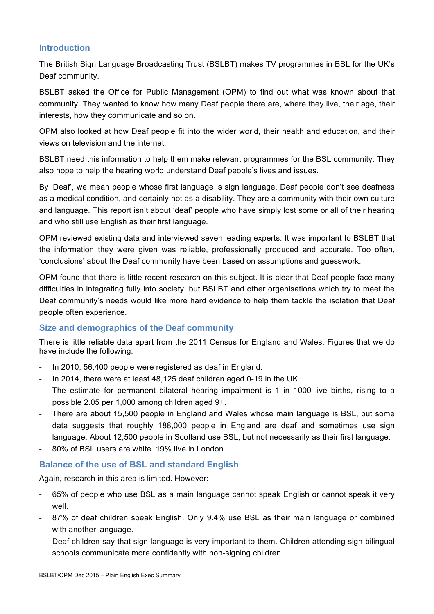# **Introduction**

The British Sign Language Broadcasting Trust (BSLBT) makes TV programmes in BSL for the UK's Deaf community.

BSLBT asked the Office for Public Management (OPM) to find out what was known about that community. They wanted to know how many Deaf people there are, where they live, their age, their interests, how they communicate and so on.

OPM also looked at how Deaf people fit into the wider world, their health and education, and their views on television and the internet.

BSLBT need this information to help them make relevant programmes for the BSL community. They also hope to help the hearing world understand Deaf people's lives and issues.

By 'Deaf', we mean people whose first language is sign language. Deaf people don't see deafness as a medical condition, and certainly not as a disability. They are a community with their own culture and language. This report isn't about 'deaf' people who have simply lost some or all of their hearing and who still use English as their first language.

OPM reviewed existing data and interviewed seven leading experts. It was important to BSLBT that the information they were given was reliable, professionally produced and accurate. Too often, 'conclusions' about the Deaf community have been based on assumptions and guesswork.

OPM found that there is little recent research on this subject. It is clear that Deaf people face many difficulties in integrating fully into society, but BSLBT and other organisations which try to meet the Deaf community's needs would like more hard evidence to help them tackle the isolation that Deaf people often experience.

# **Size and demographics of the Deaf community**

There is little reliable data apart from the 2011 Census for England and Wales. Figures that we do have include the following:

- In 2010, 56,400 people were registered as deaf in England.
- In 2014, there were at least 48,125 deaf children aged 0-19 in the UK.
- The estimate for permanent bilateral hearing impairment is 1 in 1000 live births, rising to a possible 2.05 per 1,000 among children aged 9+.
- There are about 15,500 people in England and Wales whose main language is BSL, but some data suggests that roughly 188,000 people in England are deaf and sometimes use sign language. About 12,500 people in Scotland use BSL, but not necessarily as their first language.
- 80% of BSL users are white. 19% live in London.

#### **Balance of the use of BSL and standard English**

Again, research in this area is limited. However:

- 65% of people who use BSL as a main language cannot speak English or cannot speak it very well.
- 87% of deaf children speak English. Only 9.4% use BSL as their main language or combined with another language.
- Deaf children say that sign language is very important to them. Children attending sign-bilingual schools communicate more confidently with non-signing children.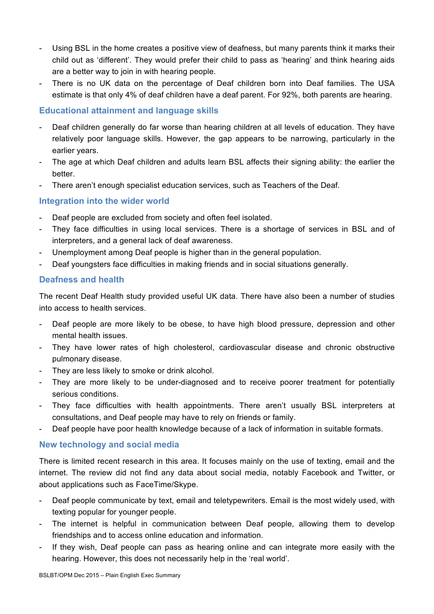- Using BSL in the home creates a positive view of deafness, but many parents think it marks their child out as 'different'. They would prefer their child to pass as 'hearing' and think hearing aids are a better way to join in with hearing people.
- There is no UK data on the percentage of Deaf children born into Deaf families. The USA estimate is that only 4% of deaf children have a deaf parent. For 92%, both parents are hearing.

# **Educational attainment and language skills**

- Deaf children generally do far worse than hearing children at all levels of education. They have relatively poor language skills. However, the gap appears to be narrowing, particularly in the earlier years.
- The age at which Deaf children and adults learn BSL affects their signing ability: the earlier the better.
- There aren't enough specialist education services, such as Teachers of the Deaf.

#### **Integration into the wider world**

- Deaf people are excluded from society and often feel isolated.
- They face difficulties in using local services. There is a shortage of services in BSL and of interpreters, and a general lack of deaf awareness.
- Unemployment among Deaf people is higher than in the general population.
- Deaf youngsters face difficulties in making friends and in social situations generally.

#### **Deafness and health**

The recent Deaf Health study provided useful UK data. There have also been a number of studies into access to health services.

- Deaf people are more likely to be obese, to have high blood pressure, depression and other mental health issues.
- They have lower rates of high cholesterol, cardiovascular disease and chronic obstructive pulmonary disease.
- They are less likely to smoke or drink alcohol.
- They are more likely to be under-diagnosed and to receive poorer treatment for potentially serious conditions.
- They face difficulties with health appointments. There aren't usually BSL interpreters at consultations, and Deaf people may have to rely on friends or family.
- Deaf people have poor health knowledge because of a lack of information in suitable formats.

#### **New technology and social media**

There is limited recent research in this area. It focuses mainly on the use of texting, email and the internet. The review did not find any data about social media, notably Facebook and Twitter, or about applications such as FaceTime/Skype.

- Deaf people communicate by text, email and teletypewriters. Email is the most widely used, with texting popular for younger people.
- The internet is helpful in communication between Deaf people, allowing them to develop friendships and to access online education and information.
- If they wish, Deaf people can pass as hearing online and can integrate more easily with the hearing. However, this does not necessarily help in the 'real world'.